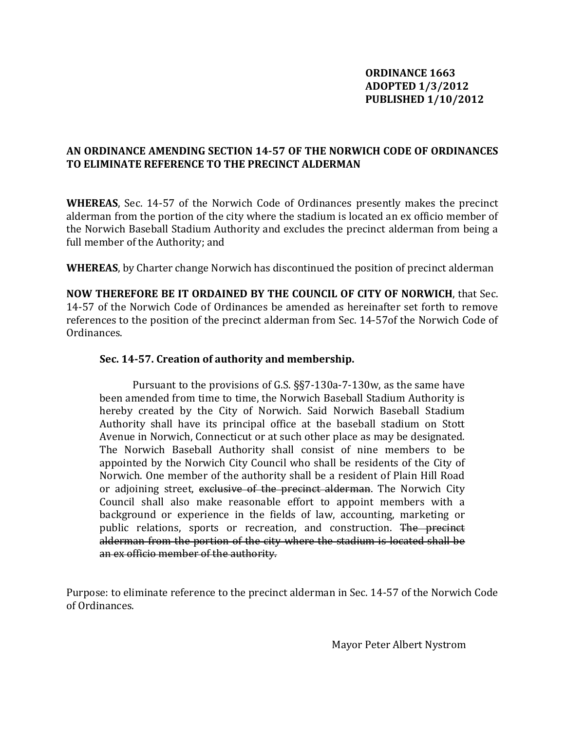## **ORDINANCE 1663 ADOPTED 1/3/2012 PUBLISHED 1/10/2012**

### **AN ORDINANCE AMENDING SECTION 1457 OF THE NORWICH CODE OF ORDINANCES TO ELIMINATE REFERENCE TO THE PRECINCT ALDERMAN**

WHEREAS, Sec. 14-57 of the Norwich Code of Ordinances presently makes the precinct alderman from the portion of the city where the stadium is located an ex officio member of he Norwich Baseball Stadium Authority and excludes the precinct alderman from being a t full member of the Authority; and

**WHEREAS**, by Charter change Norwich has discontinued the position of precinct alderman

**NOW THEREFORE BE IT ORDAINED BY THE COUNCIL OF CITY OF NORWICH**, that Sec. 14‐57 of the Norwich Code of Ordinances be amended as hereinafter set forth to remove references to the position of the precinct alderman from Sec. 14-57of the Norwich Code of Ordinances.

# **S 57. Creation of authority and membership. ec. 14**

 Pursuant to the provisions of G.S. §§7‐130a‐7‐130w, as the same have been amended from time to time, the Norwich Baseball Stadium Authority is hereby created by the City of Norwich. Said Norwich Baseball Stadium Authority shall have its principal office at the baseball stadium on Stott Avenue in Norwich, Connecticut or at such other place as may be designated. The Norwich Baseball Authority shall consist of nine members to be appointed by the Norwich City Council who shall be residents of the City of Norwich. One member of the authority shall be a resident of Plain Hill Road or adjoining street, exclusive of the precinct alderman. The Norwich City Council shall also make reasonable effort to appoint members with a background or experience in the fields of law, accounting, marketing or public relations, sports or recreation, and construction. The precinct alderman from the portion of the city where the stadium is located shall be an ex officio member of the authority.

Purpose: to eliminate reference to the precinct alderman in Sec. 14-57 of the Norwich Code of Ordinances.

Mayor Peter Albert Nystrom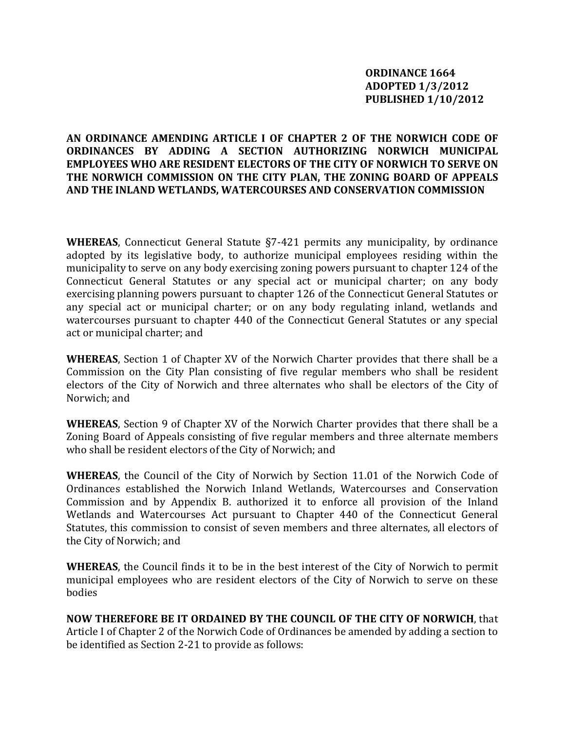## **AN ORDINANCE AMENDING ARTICLE I OF CHAPTER 2 OF THE NORWICH CODE OF ORDINANCES BY ADDING A SECTION AUTHORIZING NORWICH MUNICIPAL EMPLOYEES WHO ARE RESIDENT ELECTORS OF THE CITY OF NORWICH TO SERVE ON HE NORWICH COMMISSION ON THE CITY PLAN, THE ZONING BOARD OF APPEALS T ND THE INLAND WETLANDS, WATERCOURSES AND CONSERVATION COMMISSION A**

WHEREAS, Connecticut General Statute §7-421 permits any municipality, by ordinance adopted by its legislative body, to authorize municipal employees residing within the municipality to serve on any body exercising zoning powers pursuant to chapter 124 of the Connecticut General Statutes or any special act or municipal charter; on any body exercising planning powers pursuant to chapter 126 of the Connecticut General Statutes or any special act or municipal charter; or on any body regulating inland, wetlands and watercourses pursuant to chapter 440 of the Connecticut General Statutes or any special act or municipal charter; and

**WHEREAS**, Section 1 of Chapter XV of the Norwich Charter provides that there shall be a Commission on the City Plan consisting of five regular members who shall be resident electors of the City of Norwich and three alternates who shall be electors of the City of Norwich; and

**WHEREAS**, Section 9 of Chapter XV of the Norwich Charter provides that there shall be a Zoning Board of Appeals consisting of five regular members and three alternate members who shall be resident electors of the City of Norwich; and

**WHEREAS**, the Council of the City of Norwich by Section 11.01 of the Norwich Code of Ordinances established the Norwich Inland Wetlands, Watercourses and Conservation Commission and by Appendix B. authorized it to enforce all provision of the Inland Wetlands and Watercourses Act pursuant to Chapter 440 of the Connecticut General Statutes, this commission to consist of seven members and three alternates, all electors of the City of Norwich; and

**WHEREAS**, the Council finds it to be in the best interest of the City of Norwich to permit municipal employees who are resident electors of the City of Norwich to serve on these bodies

**NOW THEREFORE BE IT ORDAINED BY THE COUNCIL OF THE CITY OF NORWICH**, that Article I of Chapter 2 of the Norwich Code of Ordinances be amended by adding a section to be identified as Section 2-21 to provide as follows: